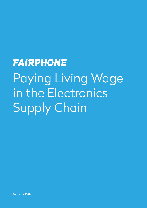# **FAIRPHONE** Paying Living Wage in the Electronics Supply Chain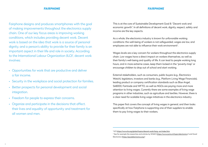**FAIRPHONE** 

Fairphone designs and produces smartphones with the goal of making improvements throughout the electronics supply chain. One of our key focus areas is improving working conditions, which includes providing decent work. Decent work is based on the idea that work is a source of personal dignity, and a person's ability to provide for their family is an important aspect in their life and role in society. According to the International Labour Organization (ILO)<sup>1</sup>, decent work involves:

As a whole, the electronics industry is known for unfavorable working conditions: the well-being of workers is not safeguarded, wages are low, and  $emplye$ es are not able to influence their work environment<sup>2</sup>.

- Opportunities for work that are productive and deliver a fair income.
- Security in the workplace and social protection for families.
- Better prospects for personal development and social integration.
- Freedom for people to express their concerns.
- Organize and participate in the decisions that affect. their lives and equality of opportunity and treatment for all women and men.

This is at the core of Sustainable Development Goal 8: "Decent work and economic growth". In all definitions of decent work, dignity, respect, safety and income are the key aspects.

Wages levels are a key concern for workers throughout the electronics supply chain. Low wages have a direct impact on workers themselves, as well as their family's well-being and quality of life. It can lead to people working long hours, and in more extreme cases, keep them locked-in the "poverty-trap" or encourage children to drop out of school and start working.

External stakeholders, such as consumers, public buyers (e.g., Electronics Watch), legislators, investors and banks (e.g., Platform Living Wage Financials), leading product or company certification standards such as Blue Angel, SA8000, Fairtrade and WFTO, as well as NGOs are paying more and more attention to living wages. Currently there are some examples of living wage programs in other industries, such as agriculture and textiles. However, there is a clear need for scalable living wage initiatives in the electronics industry.

This paper first covers the concept of living wages in general, and then looks specifically at how Fairphone is supporting one of their suppliers to enable them to pay living wages to their workers.

<sup>1</sup> ILO <https://www.ilo.org/global/topics/decent-work/lang--en/index.htm> <sup>2</sup> See for example the researches and articles by SOMO (<https://www.somo.nl/topic/electronics/>) and Good Electronics (https://goodelectronics.org/)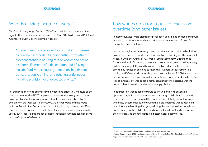## What is a living income or wage?

The Global Living Wage Coalition (GLWC) is a collaboration of international organizations and social standards such as ISEAL, SAI, Fairtrade and Rainforest Alliance. The GLWC defines a living wage as:

For guidance on how to estimate living wages and effectively measure all the related elements, the GLWC employs the Anker Methodology. As a starting point, local and national living wage estimates may already be publicly available on the websites like the GLWC, Asia Floor Wage and the Wage Indicator Foundation. Because the cost of living in a big city may be different than the cost of living in the small village, local estimates can be especially useful. But if local figures are not available, national estimates can also serve as a useful point of reference.

"The remuneration received for a standard workweek by a worker in a particular place sufficient to afford a decent standard of living for the worker and her or his family. Elements of a decent standard of living include food, water, housing, education, health care, transportation, clothing, and other essential needs including provision for unexpected events."3

## Low wages are a root cause of excessive overtime (and other issues)

In many countries where electronics production takes place, the legal minimum wage is not sufficient for workers to afford a decent standard of living for themselves and their families.

In other words, low incomes may mean that workers and their families lack or have limited access to food, education, health care, housing or other essential needs. In 2018, the Chinese NGO Worker Empowerment (WE) found that factory workers in Guandong province who earn low wages cut their spending on food, housing, clothes and transport to substandard levels, in order to be able to pay for health care and to financially support to their family. As a result, the NGO concluded that they had a low quality of life<sup>4</sup>. To increase their income, workers may want to work extremely long hours or work multiple jobs. This shows how low wages can directly contribute to to excessive working hours, a chronic issue in the electronics supply chains.

In addition, low wages can contribute to limiting children's education opportunities, or in more extreme cases, encourage child labor. Children with limited access to education will likely perform low-skilled jobs for low wages when they become adults, continuing the cycle. Improved wages may be a crucial factor in breaking this cycle, reducing the need to work extremely long hours, improving their ability to afford essential needs such as housing, and therefore allowing them to achieve a better overall quality of life.

<sup>3</sup> GLWC https://www.globallivingwage.org/about/what-is-a-living-wage/ 4 Worker Empowerment (2018) "Workers' wage and Living Expenses in Four Tier Cities in Guangdong Province" http://www.workerempowerment.org/en/research-reports/260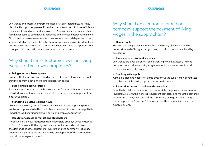Low wages and excessive overtime are not just worker-related issues – they also directly impact employers. Excessive overtime can lead to lower efficiency, more mistakes and poor production quality. As a consequence, manufacturers face higher costs to cover rework, accidents and increased accident insurance. Situations like these also contribute to low satisfaction and depression among workers, which in turn leads to higher turnover, meaning loss of skilled workers and increased recruitment costs. Improved wages can have the opposite effect: a happy, stable and skilled workforce, as well as cost savings.

### • Being a responsible employer

Ensuring that your staff can afford a decent standard of living is the right thing to do from both a moral and a legal standpoint.

### • Stable and skilled workforce

Better wages contribute to higher worker satisfaction, higher retention rates of skilled workers, lower recruitment costs, better quality management and a safer workplace.

### • Managing excessive working hours

Low wages are a key driver for excessive working hours. Improving wages enables companies to better control excessive overtime without negatively impacting workers' (financial) well-being and employee turnover.

### • Reputation, access to market and stakeholders

Proactively build your reputation as a responsible employer, ensure access to (public) buyers with the highest procurement standards and meet the demands of other customers, investors and the community at large. Improved wages support the (economic) development of the community around the workplace as well.

## Why should manufacturers invest in living wages at their own companies?

## Why should an electronics brand or company support the payment of living wages in the supply chain?

## • Human rights

Ensuring that people working throughout the supply chain can afford a decent standard of living is the right thing to do from both a moral and legal perspective

## • Managing excessive working hours

Low wages are a key driver for workers wanting to work excessive working hours. Without addressing living wages, managing excessive overtime will remain an ongoing challenge.

## • Stable, quality supply

A stable, skilled and happy workforce throughout the supply chain contributes to stable and high-quality supply, now and in the future.

## • Reputation, access to market and stakeholders

Proactively build your reputation as a responsible company, ensure access to (public) buyers with the highest procurement standards and meet the demands of other customers, investors and the community at large. Improved wages further support the (economic) development of the community around the suppliers as well.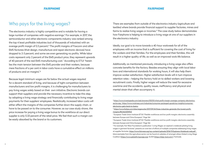## Who pays for the living wages?

The electronics industry is highly competitive and is notable for having a large number of companies with negative earnings.<sup>5</sup> For example, in 2017, the semiconductor and other electronic components industry was ranked among the top 4 least profitable industries (out of thousands of industries) with an average profit margin of 0.3 percent.<sup>6</sup> The profit margins of Foxconn and other EMS factories (that design, manufacture and repair electronic devices) have dropped to 2-3 percent, and some are even generating no profits. While labor costs represent only 2 percent of the EMS product price, they represent upwards of 40 percent of the real EMS manufacturing cost.7 According to ETUI "herein lies the main tension between the EMS provider and their workers, because mere fractions of a per cent in labor costs have a cumulative effect on millions of products and on margins".8

Because legal minimum wages are far below the actual wages required for a decent standard of living, and because of tight competition between manufacturers and low profit margins, it is challenging for manufacturers to pay living wages solely based on their own initiative. Electronic brands can support their suppliers and provide the necessary incentive to take this step, by adopting a living wage strategy and financially contributing to living wage payments for their suppliers' employees. Realistically, increased labor costs will either affect the margins of the companies further down the supply chain, or have to be passed on to the consumer. However, as our case study shows, the price increase for paying a living wage bonus to the workforce at our direct supplier is only 0.33 percent of the retail price. We feel that such a margin can be easily absorbed by the brand or its customers.

There are examples from outside of the electronics industry (agriculture and textiles) where brands provide financial support to supplier factories, mines and farms to realize living wages or incomes.<sup>9</sup> The case study below demonstrates how Fairphone is helping to introduce a living wage at one of our suppliers in the electronics industry.

Ideally, our goal is to move towards a 40-hour workweek for all of the employees with an income that is sufficient for covering the cost of living for the workers and their families. For the employees and their families, this will result in a higher quality of life, as well as an improved work-life balance.

Additionally, as mentioned previously, introducing a living wage also offers concrete benefits for the factory. Besides ensuring they align with local labor laws and international standards for working hours, it will also help them improve worker satisfaction. Higher satisfaction levels will in turn improve retention rates – helping the factory hold on to skilled workers and lowering recruitment costs. Finally, higher wages will reduce the need for excessive overtime and the accidents, quality issues, inefficiency and physical and mental strain that often accompany it.

5 [https://www.investopedia.com/ask/answers/051215/what-profit-margin-average-company-electronics-](https://www.investopedia.com/ask/answers/051215/what-profit-margin-average-company-electronics-sector.asp)

 $^7$  European Trade Union Institute (ETUI) "Flexible workforces and low profit margins: electronics assembly  $\,$ between Europe and China European". Page 166

 $^8$  European Trade Union Institute (ETUI) "Flexible workforces and low profit margins: electronics assembly  $\,$ between Europe and China European". Page 166

[sector.asp; https://www.mckinsey.com/industries/consumer-packaged-goods/our-insights/consumer](https://www.investopedia.com/ask/answers/051215/what-profit-margin-average-company-electronics-sector.asp)[electronics-gets-back-to-basics](https://www.investopedia.com/ask/answers/051215/what-profit-margin-average-company-electronics-sector.asp)

<sup>6</sup> [https://www.forbes.com/sites/sageworks/2017/09/24/these-industries-generate-the-lowest-profit](https://www.forbes.com/sites/sageworks/2017/09/24/these-industries-generate-the-lowest-profit-margins/#1dfd37e6f49d)[margins/#b34e1d5f49d2](https://www.forbes.com/sites/sageworks/2017/09/24/these-industries-generate-the-lowest-profit-margins/#1dfd37e6f49d)

<sup>9</sup> For example, Fair Wear Foundation's publication "Living Wages: an explorer's notebook piloting living wages in garment factories" presents an overview of efforts of multiple companies addressing living wages at supplier factories. [https://www.fairwear.org/wp-content/uploads/2016/11/Explorers-Notebook-web.pdf](https://api.fairwear.org/wp-content/uploads/2016/11/Explorers-Notebook-web.pdf)  More examples from the agriculture sector can be found at websites of amongst others Global Living Wage Coalition [\(https://www.globallivingwage.org](https://www.globallivingwage.org/)), ALIGN (<https://align-tool.com/>), Fairtrade.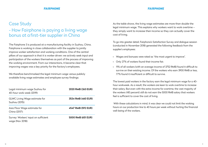## Case Study - How Fairphone is paying a living wage bonus at afirst-tier supplier in China

The Fairphone 3 is produced at a manufacturing facility in Suzhou, China. Fairphone is working in close collaboration with the supplier to jointly improve worker satisfaction and working conditions. One of the central pillars of our approach is that it is worker driven: we actively seek input and participation of the workers themselves as part of the process of improving the working environment. From our interactions, it became clear that improving wages was a key priority for the factory's employees.

We therefore benchmarked the legal minimum wage versus publicly available living wage estimates and employee survey findings:

| Legal minimum wage Suzhou for<br>40-hour work week (2019): | 2020 RMB (263 EUR) |
|------------------------------------------------------------|--------------------|
| <b>GLWC Living Wage estimate for</b><br>Suzhou (2015):     | 3534 RMB (460 EUR) |
| Asia Floor Wage estimate for<br>China (2017):              | 4547 RMB (592 EUR) |
| Survey: Workers' input on sufficient<br>wage (Nov 2018):   | 5000 RMB (651 EUR) |

As the table shows, the living wage estimates are more than double the legal minimum wage. This explains why workers want to work overtime – they simply want to increase their income so they can actually cover the cost of living.

To go into greater detail, Fairphone's Satisfaction Survey and dialogue session (conducted in November 2018) generated the following feedback from the supplier's employees:

- Wages and bonuses were rated as "the most urgent to improve".
- Only 27% of workers found their income fair.
- 11% of all workers (with an average income of 3752 RMB) found it difficult to survive on their existing income. Of the workers who earn 3900 RMB or less, 77% found it insufficient or difficult to survive.

The lowest paid workers in the factory earn the legal minimum wage for a 40 hour workweek. As a result, the workers are keen to work overtime to increase their salary. But even with the extra income for overtime, the vast majority of the workers (>80 percent) still do not earn the 5000 RMB salary that workers feel is sufficient to cover the cost of living.

 With these calculations in mind, it was clear we could not limit the working hours on our production line to 40 hours per week without hurting the financial well-being of the workers.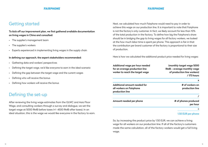## Getting started

## Defining the set-up

## To kick off our improvement plan, we first gathered available documentation on living wages in China and consulted:

- The supplier's management team
- The supplier's workers
- Experts experienced in implementing living wages in the supply chain

### In defining our approach, the expert stakeholders recommended:

- Gathering data and workers' perspectives
- Defining the target wage, we'd like everyone to earn in the ideal scenario
- Defining the gap between the target wage and the current wages
- Defining who will receive the bonus
- Defining how workers will receive the bonus

After reviewing the living wage estimates from the GLWC and Asia Floor Wage, and consulting workers through a survey and dialogue, we set the target wage at 5000 RMB before taxes (+/- 4500 RMB after taxes). In an ideal situation, this is the wage we would like everyone in the factory to earn.

> So, by increasing the product price by 1.50 EUR, we can achieve a living wage for all workers on our production line. If all of the factory's customers made the same calculation, all of the factory workers would get a full living wage.

## **FAIRPHONE**

Next, we calculated how much Fairphone would need to pay in order to achieve this wage on our production line. It is important to note that Fairphone is not the factory's only customer. In fact, we likely account for less than 10% of the total production in the factory. To define how big the Fairphone's share should be in bridging the gap to living wages for all factory workers, we looked at the how much labor time is spent per phone. This approach is fair in that the contribution per brand customer of the factory is proportional to their size of production.

Here is how we calculated the additional product price needed for living wages:

Additional wage per hour needed for an average production line worker to reach the target wage

Additional amount needed for all workers on Fairphone production line

### Amount needed per phone

## (monthly target wage 5000 RMB – average monthly wage of production line workers) / 173 hours

x

# of workers on production line

/

# of phones produced per hour

=

1.50 EUR per phone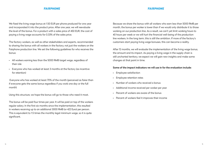We fixed the living wage bonus at 1.50 EUR per phone produced for one year and incorporated it into the product price. After one year, we will reevaluate the level of the bonus. For a product with a sales price of 450 EUR, the cost of paying a living wage accounts for 0.33% of the sales price.

The factory workers, as well as other stakeholders and experts, recommended to sharing the bonus with all workers in the factory, not just the workers on the Fairphone production line. We set the following guidelines for who receives the bonus:

- All workers earning less than the 5000 RMB target wage, regardless of their role
- Everyone who has worked at least 3 months at the factory (as incentive for retention)

 Everyone who has worked at least 70% of the month (perceived as fairer than if everyone gets the same bonus regardless if you work one day or the full month)

Using this structure, we hope the bonus will go to those who need it most.

The bonus will be paid four times per year. It will be paid on top of the workers regular salary. In the first six months since the implementation, this resulted in workers receiving up to an additional 3000 RMB (or 422 Euro) per person. This is equivalent to 1.5 times the monthly legal minimum wage, so it is quite significant.

Because we share the bonus with all workers who earn less than 5000 RMB per month, the bonus per worker is lower than if we would only distribute it to those working on our production line. As a result, we can't yet limit working hours to 40 hours per week or we will hurt the financial well-being of the production line workers. In the long term, this is still the ambition. If more of the factory's customers start paying living wage bonuses, this can become a reality.

After 12 months, we will evaluate the implementation of the living wage bonus, the amount and its impact. As paying a living wage in the supply chain is still uncharted territory, we expect we will gain new insights and make some changes at that point in time.

## Some of the impact indicators we will use in for the evaluation include:

- Employee satisfaction
- Employee retention rates
- Number of workers who received a bonus
- Additional income received per worker per year
- Percent of workers are aware of the bonus
- Percent of workers feel it improves their income